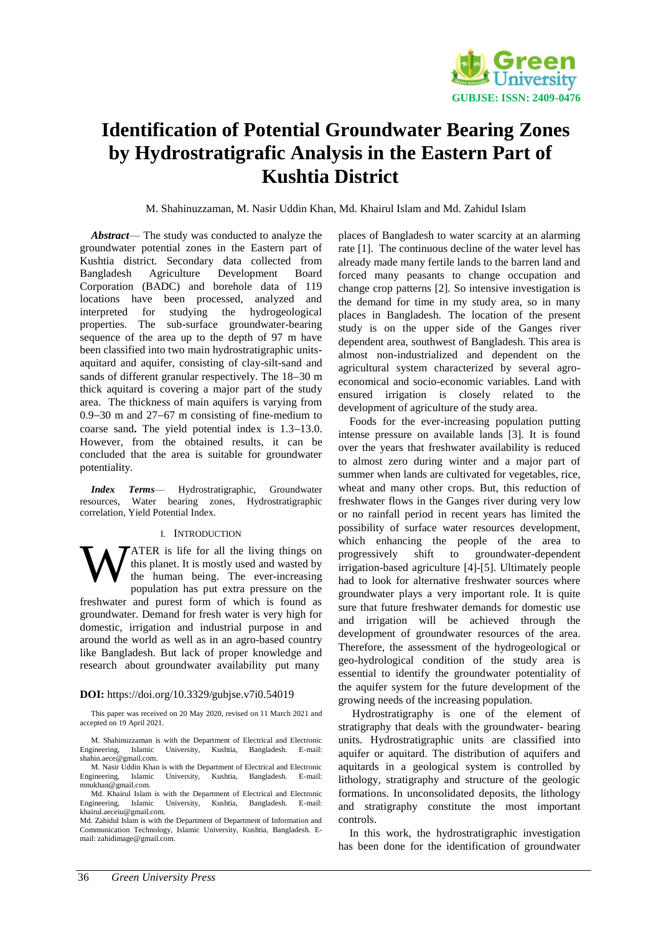

# **Identification of Potential Groundwater Bearing Zones by Hydrostratigrafic Analysis in the Eastern Part of Kushtia District**

M. Shahinuzzaman, M. Nasir Uddin Khan, Md. Khairul Islam and Md. Zahidul Islam

*Abstract*— The study was conducted to analyze the groundwater potential zones in the Eastern part of Kushtia district. Secondary data collected from Bangladesh Agriculture Development Board Corporation (BADC) and borehole data of 119 locations have been processed, analyzed and interpreted for studying the hydrogeological properties. The sub-surface groundwater-bearing sequence of the area up to the depth of 97 m have been classified into two main hydrostratigraphic unitsaquitard and aquifer, consisting of clay-silt-sand and sands of different granular respectively. The  $18-30$  m thick aquitard is covering a major part of the study area. The thickness of main aquifers is varying from  $0.9-30$  m and  $27-67$  m consisting of fine-medium to coarse sand. The yield potential index is  $1.3-13.0$ . However, from the obtained results, it can be concluded that the area is suitable for groundwater potentiality.

*Index Terms*— Hydrostratigraphic, Groundwater resources, Water bearing zones, Hydrostratigraphic correlation, Yield Potential Index.

## I. INTRODUCTION

ATER is life for all the living things on this planet. It is mostly used and wasted by the human being. The ever-increasing population has put extra pressure on the freshwater and purest form of which is found as groundwater. Demand for fresh water is very high for domestic, irrigation and industrial purpose in and around the world as well as in an agro-based country like Bangladesh. But lack of proper knowledge and research about groundwater availability put many W

## **DOI:** https://doi.org/10.3329/gubjse.v7i0.54019

This paper was received on 20 May 2020, revised on 11 March 2021 and accepted on 19 April 2021.

M. Shahinuzzaman is with the Department of Electrical and Electronic Engineering, Islamic University, Kushtia, Bangladesh. E-mail: [shahin.aece@gmail.com.](mailto:shahin.aece@gmail.com) 

M. Nasir Uddin Khan is with the Department of Electrical and Electronic Engineering, Islamic University, Kushtia, Bangladesh. E-mail: mnukhan@gmail.com.

Md. Khairul Islam is with the Department of Electrical and Electronic Engineering, Islamic University, Kushtia, Bangladesh. E-mail: [khairul.aeceiu@gmail.com.](mailto:khairul.aeceiu@gmail.com)

Md. Zahidul Islam is with the Department of Department of Information and Communication Technology, Islamic University, Kushtia, Bangladesh. Email: zahidimage@gmail.com.

places of Bangladesh to water scarcity at an alarming rate [1]. The continuous decline of the water level has already made many fertile lands to the barren land and forced many peasants to change occupation and change crop patterns [2]. So intensive investigation is the demand for time in my study area, so in many places in Bangladesh. The location of the present study is on the upper side of the Ganges river dependent area, southwest of Bangladesh. This area is almost non-industrialized and dependent on the agricultural system characterized by several agroeconomical and socio-economic variables. Land with ensured irrigation is closely related to the development of agriculture of the study area.

Foods for the ever-increasing population putting intense pressure on available lands [3]. It is found over the years that freshwater availability is reduced to almost zero during winter and a major part of summer when lands are cultivated for vegetables, rice, wheat and many other crops. But, this reduction of freshwater flows in the Ganges river during very low or no rainfall period in recent years has limited the possibility of surface water resources development, which enhancing the people of the area to progressively shift to groundwater-dependent irrigation-based agriculture [4]-[5]. Ultimately people had to look for alternative freshwater sources where groundwater plays a very important role. It is quite sure that future freshwater demands for domestic use and irrigation will be achieved through the development of groundwater resources of the area. Therefore, the assessment of the hydrogeological or geo-hydrological condition of the study area is essential to identify the groundwater potentiality of the aquifer system for the future development of the growing needs of the increasing population.

Hydrostratigraphy is one of the element of stratigraphy that deals with the groundwater- bearing units. Hydrostratigraphic units are classified into aquifer or aquitard. The distribution of aquifers and aquitards in a geological system is controlled by lithology, stratigraphy and structure of the geologic formations. In unconsolidated deposits, the lithology and stratigraphy constitute the most important controls.

In this work, the hydrostratigraphic investigation has been done for the identification of groundwater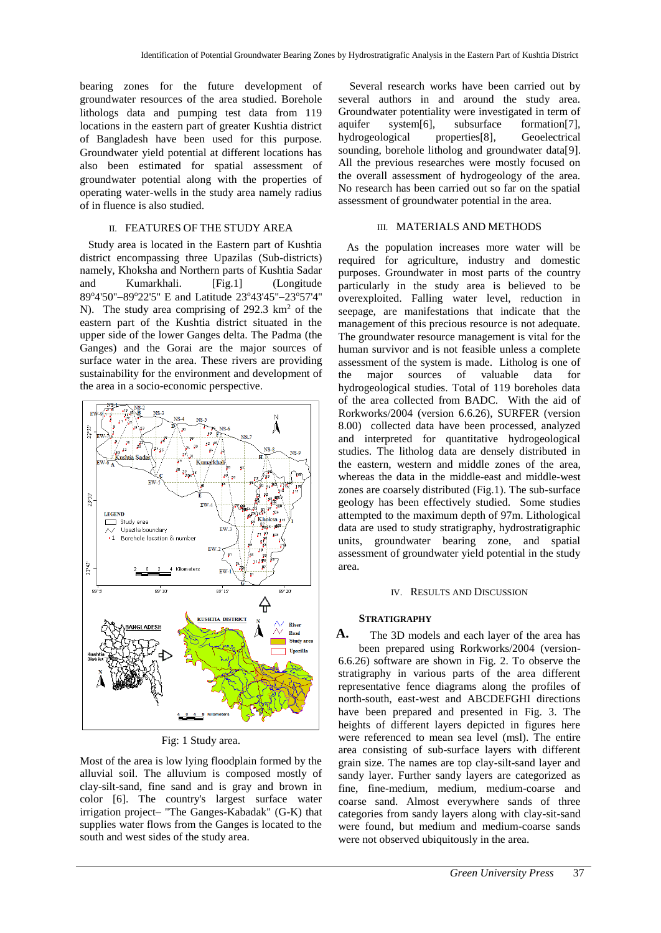bearing zones for the future development of groundwater resources of the area studied. Borehole lithologs data and pumping test data from 119 locations in the eastern part of greater Kushtia district of Bangladesh have been used for this purpose. Groundwater yield potential at different locations has also been estimated for spatial assessment of groundwater potential along with the properties of operating water-wells in the study area namely radius of in fluence is also studied.

# II. FEATURES OF THE STUDY AREA

 Study area is located in the Eastern part of Kushtia district encompassing three Upazilas (Sub-districts) namely, Khoksha and Northern parts of Kushtia Sadar and Kumarkhali. [Fig.1] (Longitude 89°4'50"-89°22'5" E and Latitude 23°43'45"-23°57'4" N). The study area comprising of 292.3 km<sup>2</sup> of the eastern part of the Kushtia district situated in the upper side of the lower Ganges delta. The Padma (the Ganges) and the Gorai are the major sources of surface water in the area. These rivers are providing sustainability for the environment and development of the area in a socio-economic perspective.



Fig: 1 Study area.

Most of the area is low lying floodplain formed by the alluvial soil. The alluvium is composed mostly of clay-silt-sand, fine sand and is gray and brown in color [6]. The country's largest surface water irrigation project– "The Ganges-Kabadak" (G-K) that supplies water flows from the Ganges is located to the south and west sides of the study area.

Several research works have been carried out by several authors in and around the study area. Groundwater potentiality were investigated in term of aquifer system[6], subsurface formation[7], hydrogeological properties[8], Geoelectrical sounding, borehole litholog and groundwater data[9]. All the previous researches were mostly focused on the overall assessment of hydrogeology of the area. No research has been carried out so far on the spatial assessment of groundwater potential in the area.

# III. MATERIALS AND METHODS

 As the population increases more water will be required for agriculture, industry and domestic purposes. Groundwater in most parts of the country particularly in the study area is believed to be overexploited. Falling water level, reduction in seepage, are manifestations that indicate that the management of this precious resource is not adequate. The groundwater resource management is vital for the human survivor and is not feasible unless a complete assessment of the system is made. Litholog is one of the major sources of valuable data for hydrogeological studies. Total of 119 boreholes data of the area collected from BADC. With the aid of Rorkworks/2004 (version 6.6.26), SURFER (version 8.00) collected data have been processed, analyzed and interpreted for quantitative hydrogeological studies. The litholog data are densely distributed in the eastern, western and middle zones of the area, whereas the data in the middle-east and middle-west zones are coarsely distributed (Fig.1). The sub-surface geology has been effectively studied. Some studies attempted to the maximum depth of 97m. Lithological data are used to study stratigraphy, hydrostratigraphic units, groundwater bearing zone, and spatial assessment of groundwater yield potential in the study area.

### IV. RESULTS AND DISCUSSION

## **STRATIGRAPHY**

The 3D models and each layer of the area has been prepared using Rorkworks/2004 (version-6.6.26) software are shown in Fig. 2. To observe the stratigraphy in various parts of the area different representative fence diagrams along the profiles of north-south, east-west and ABCDEFGHI directions have been prepared and presented in Fig. 3. The heights of different layers depicted in figures here were referenced to mean sea level (msl). The entire area consisting of sub-surface layers with different grain size. The names are top clay-silt-sand layer and sandy layer. Further sandy layers are categorized as fine, fine-medium, medium, medium-coarse and coarse sand. Almost everywhere sands of three categories from sandy layers along with clay-sit-sand were found, but medium and medium-coarse sands were not observed ubiquitously in the area. **A.**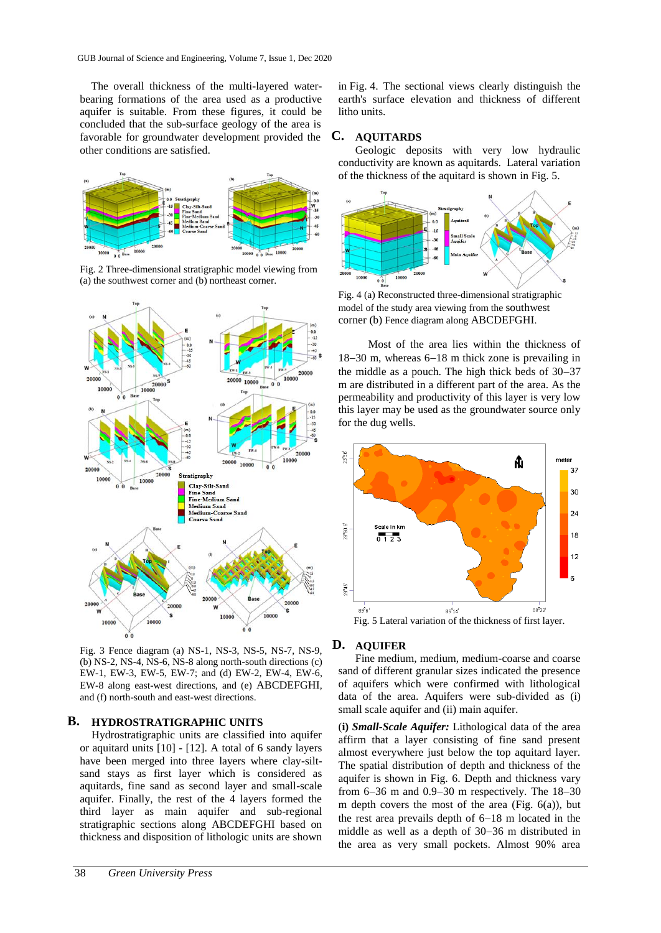The overall thickness of the multi-layered waterbearing formations of the area used as a productive aquifer is suitable. From these figures, it could be concluded that the sub-surface geology of the area is favorable for groundwater development provided the other conditions are satisfied.



Fig. 2 Three-dimensional stratigraphic model viewing from (a) the southwest corner and (b) northeast corner.



Fig. 3 Fence diagram (a) NS-1, NS-3, NS-5, NS-7, NS-9, (b) NS-2, NS-4, NS-6, NS-8 along north-south directions (c) EW-1, EW-3, EW-5, EW-7; and (d) EW-2, EW-4, EW-6, EW-8 along east-west directions, and (e) ABCDEFGHI, and (f) north-south and east-west directions.

#### **HYDROSTRATIGRAPHIC UNITS B.**

Hydrostratigraphic units are classified into aquifer or aquitard units [10] - [12]. A total of 6 sandy layers have been merged into three layers where clay-siltsand stays as first layer which is considered as aquitards, fine sand as second layer and small-scale aquifer. Finally, the rest of the 4 layers formed the third layer as main aquifer and sub-regional stratigraphic sections along ABCDEFGHI based on thickness and disposition of lithologic units are shown

in Fig. 4. The sectional views clearly distinguish the earth's surface elevation and thickness of different litho units.

# **AQUITARDS C.**

Geologic deposits with very low hydraulic conductivity are known as aquitards. Lateral variation of the thickness of the aquitard is shown in Fig. 5.



Fig. 4 (a) Reconstructed three-dimensional stratigraphic model of the study area viewing from the southwest corner (b) Fence diagram along ABCDEFGHI.

Most of the area lies within the thickness of  $18-30$  m, whereas  $6-18$  m thick zone is prevailing in the middle as a pouch. The high thick beds of  $30-37$ m are distributed in a different part of the area. As the permeability and productivity of this layer is very low this layer may be used as the groundwater source only for the dug wells.



# **AQUIFER D.**

Fine medium, medium, medium-coarse and coarse sand of different granular sizes indicated the presence of aquifers which were confirmed with lithological data of the area. Aquifers were sub-divided as (i) small scale aquifer and (ii) main aquifer.

(**i)** *Small-Scale Aquifer:* Lithological data of the area affirm that a layer consisting of fine sand present almost everywhere just below the top aquitard layer. The spatial distribution of depth and thickness of the aquifer is shown in Fig. 6. Depth and thickness vary from  $6-36$  m and  $0.9-30$  m respectively. The  $18-30$ m depth covers the most of the area (Fig.  $6(a)$ ), but the rest area prevails depth of  $6-18$  m located in the middle as well as a depth of 30–36 m distributed in the area as very small pockets. Almost 90% area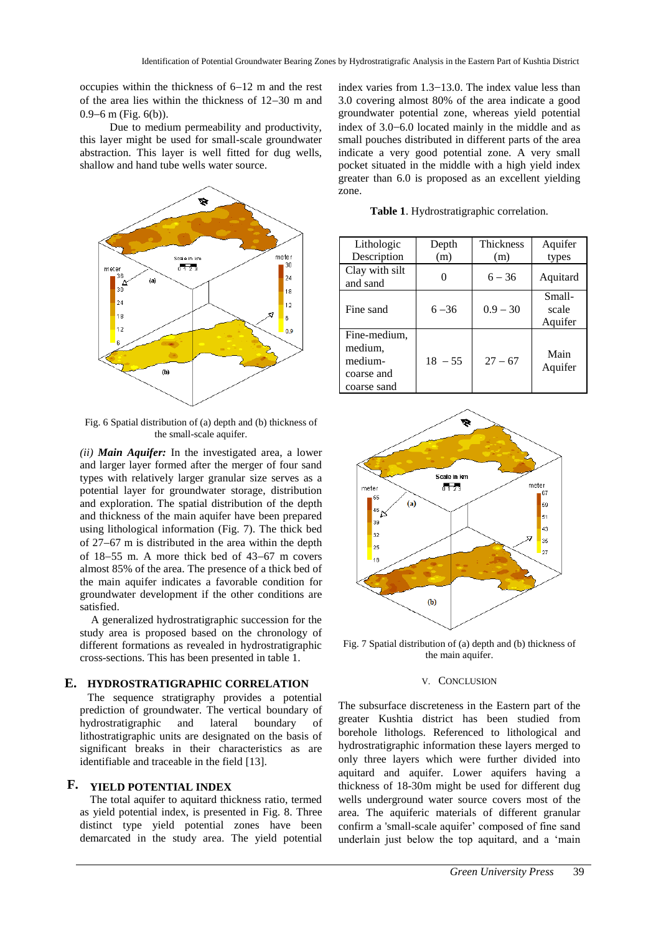occupies within the thickness of  $6-12$  m and the rest of the area lies within the thickness of  $12-30$  m and  $0.9-6$  m (Fig.  $6(b)$ ).

Due to medium permeability and productivity, this layer might be used for small-scale groundwater abstraction. This layer is well fitted for dug wells, shallow and hand tube wells water source.



Fig. 6 Spatial distribution of (a) depth and (b) thickness of the small-scale aquifer.

*(ii) Main Aquifer:* In the investigated area, a lower and larger layer formed after the merger of four sand types with relatively larger granular size serves as a potential layer for groundwater storage, distribution and exploration. The spatial distribution of the depth and thickness of the main aquifer have been prepared using lithological information (Fig. 7). The thick bed of  $27-67$  m is distributed in the area within the depth of  $18-55$  m. A more thick bed of  $43-67$  m covers almost 85% of the area. The presence of a thick bed of the main aquifer indicates a favorable condition for groundwater development if the other conditions are satisfied.

A generalized hydrostratigraphic succession for the study area is proposed based on the chronology of different formations as revealed in hydrostratigraphic cross-sections. This has been presented in table 1.

# **HYDROSTRATIGRAPHIC CORRELATION E.**

The sequence stratigraphy provides a potential prediction of groundwater. The vertical boundary of hydrostratigraphic and lateral boundary of lithostratigraphic units are designated on the basis of significant breaks in their characteristics as are identifiable and traceable in the field [13].

# **YIELD POTENTIAL INDEX F.**

The total aquifer to aquitard thickness ratio, termed as yield potential index, is presented in Fig. 8. Three distinct type yield potential zones have been demarcated in the study area. The yield potential

index varies from  $1.3-13.0$ . The index value less than 3.0 covering almost 80% of the area indicate a good groundwater potential zone, whereas yield potential index of  $3.0-6.0$  located mainly in the middle and as small pouches distributed in different parts of the area indicate a very good potential zone. A very small pocket situated in the middle with a high yield index greater than 6.0 is proposed as an excellent yielding zone.

**Table 1**. Hydrostratigraphic correlation.

| Lithologic<br>Description                                       | Depth<br>(m) | Thickness<br>(m) | Aquifer<br>types           |
|-----------------------------------------------------------------|--------------|------------------|----------------------------|
| Clay with silt<br>and sand                                      |              | $6 - 36$         | Aquitard                   |
| Fine sand                                                       | $6 - 36$     | $0.9 - 30$       | Small-<br>scale<br>Aquifer |
| Fine-medium.<br>medium,<br>medium-<br>coarse and<br>coarse sand | $18 - 55$    | $27 - 67$        | Main<br>Aquifer            |



Fig. 7 Spatial distribution of (a) depth and (b) thickness of the main aquifer.

### V. CONCLUSION

The subsurface discreteness in the Eastern part of the greater Kushtia district has been studied from borehole lithologs. Referenced to lithological and hydrostratigraphic information these layers merged to only three layers which were further divided into aquitard and aquifer. Lower aquifers having a thickness of 18-30m might be used for different dug wells underground water source covers most of the area*.* The aquiferic materials of different granular confirm a 'small-scale aquifer' composed of fine sand underlain just below the top aquitard, and a 'main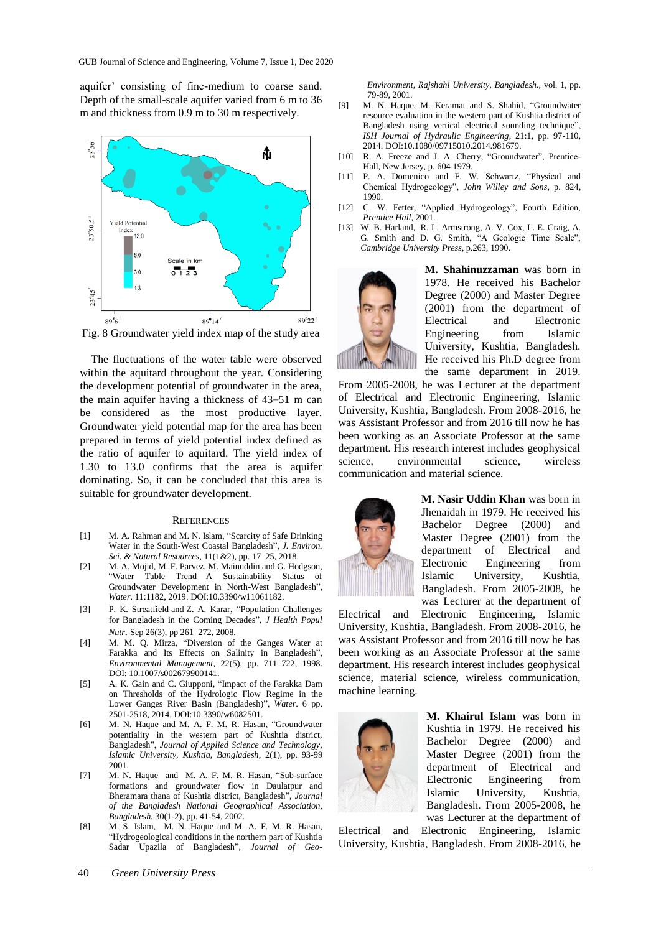aquifer' consisting of fine-medium to coarse sand. Depth of the small-scale aquifer varied from 6 m to 36 m and thickness from 0.9 m to 30 m respectively.



Fig. 8 Groundwater yield index map of the study area

The fluctuations of the water table were observed within the aquitard throughout the year. Considering the development potential of groundwater in the area, the main aquifer having a thickness of  $43-51$  m can be considered as the most productive layer. Groundwater yield potential map for the area has been prepared in terms of yield potential index defined as the ratio of aquifer to aquitard. The yield index of 1.30 to 13.0 confirms that the area is aquifer dominating. So, it can be concluded that this area is suitable for groundwater development.

### **REFERENCES**

- [1] M. A. Rahman and M. N. Islam, "Scarcity of Safe Drinking Water in the South-West Coastal Bangladesh", *J. Environ. Sci. & Natural Resources,* 11(1&2), pp. 17–25, 2018.
- [2] M. A. Mojid, M. F. Parvez, M. Mainuddin and G. Hodgson, "Water Table Trend—A Sustainability Status of Groundwater Development in North-West Bangladesh", *Water*. 11:1182, 2019. DOI:10.3390/w11061182.
- [3] P. [K. Streatfield](https://www.ncbi.nlm.nih.gov/pubmed/?term=Streatfield%20PK%5BAuthor%5D&cauthor=true&cauthor_uid=18831223) and Z. A. [Karar](https://www.ncbi.nlm.nih.gov/pubmed/?term=Karar%20ZA%5BAuthor%5D&cauthor=true&cauthor_uid=18831223), "Population Challenges for Bangladesh in the Coming Decades", *[J Health Popul](https://www.ncbi.nlm.nih.gov/pmc/articles/PMC2740702/)  [Nutr](https://www.ncbi.nlm.nih.gov/pmc/articles/PMC2740702/).* Sep 26(3), pp 261–272, 2008.
- [4] M. M. Q. Mirza, "Diversion of the Ganges Water at Farakka and Its Effects on Salinity in Bangladesh", *Environmental Management,* 22(5), pp. 711–722, 1998. DOI: 10.1007/s002679900141.
- [5] A. K. Gain and C. Giupponi, "Impact of the Farakka Dam on Thresholds of the Hydrologic Flow Regime in the Lower Ganges River Basin (Bangladesh)", *Water*. 6 pp. 2501-2518, 2014. DOI:10.3390/w6082501.
- [6] M. N. Haque and M. A. F. M. R. Hasan, "Groundwater potentiality in the western part of Kushtia district, Bangladesh", *Journal of Applied Science and Technology*, *Islamic University*, *Kushtia, Bangladesh,* 2(1), pp. 93-99 2001.
- [7] M. N. Haque and M. A. F. M. R. Hasan, "Sub-surface formations and groundwater flow in Daulatpur and Bheramara thana of Kushtia district, Bangladesh", *Journal of the Bangladesh National Geographical Association*, *Bangladesh.* 30(1-2), pp. 41-54, 2002.
- [8] M. S. Islam, M. N. Haque and M. A. F. M. R. Hasan, "Hydrogeological conditions in the northern part of Kushtia Sadar Upazila of Bangladesh", *Journal of Geo-*

*Environment, Rajshahi University, Bangladesh*., vol. 1, pp. 79-89, 2001.

- [9] M. N. Haque, M. Keramat and S. Shahid, "Groundwater resource evaluation in the western part of Kushtia district of Bangladesh using vertical electrical sounding technique", *ISH Journal of Hydraulic Engineering*, 21:1, pp. 97-110, 2014. DOI:10.1080/09715010.2014.981679.
- [10] R. A. Freeze and J. A. Cherry, "Groundwater", Prentice-Hall, New Jersey, p. 604 1979.
- [11] P. A. Domenico and F. W. Schwartz, "Physical and Chemical Hydrogeology", *John Willey and Sons*, p. 824, 1990.
- [12] C. W. Fetter, "Applied Hydrogeology", Fourth Edition, *Prentice Hall*, 2001.
- [13] W. B. Harland, R. L. Armstrong, A. V. Cox, L. E. Craig, A. G. Smith and D. G. Smith, "A Geologic Time Scale", *Cambridge University Press*, p.263, 1990.



**M. Shahinuzzaman** was born in 1978. He received his Bachelor Degree (2000) and Master Degree (2001) from the department of Electrical and Electronic Engineering from Islamic University, Kushtia, Bangladesh. He received his Ph.D degree from the same department in 2019.

From 2005-2008, he was Lecturer at the department of Electrical and Electronic Engineering, Islamic University, Kushtia, Bangladesh. From 2008-2016, he was Assistant Professor and from 2016 till now he has been working as an Associate Professor at the same department. His research interest includes geophysical science, environmental science, wireless communication and material science.



**M. Nasir Uddin Khan** was born in Jhenaidah in 1979. He received his Bachelor Degree (2000) and Master Degree (2001) from the department of Electrical and Electronic Engineering from Islamic University, Kushtia, Bangladesh. From 2005-2008, he was Lecturer at the department of

Electrical and Electronic Engineering, Islamic University, Kushtia, Bangladesh. From 2008-2016, he was Assistant Professor and from 2016 till now he has been working as an Associate Professor at the same department. His research interest includes geophysical science, material science, wireless communication, machine learning.



**M. Khairul Islam** was born in Kushtia in 1979. He received his Bachelor Degree (2000) and Master Degree (2001) from the department of Electrical and Electronic Engineering from Islamic University, Kushtia, Bangladesh. From 2005-2008, he was Lecturer at the department of

Electrical and Electronic Engineering, Islamic University, Kushtia, Bangladesh. From 2008-2016, he